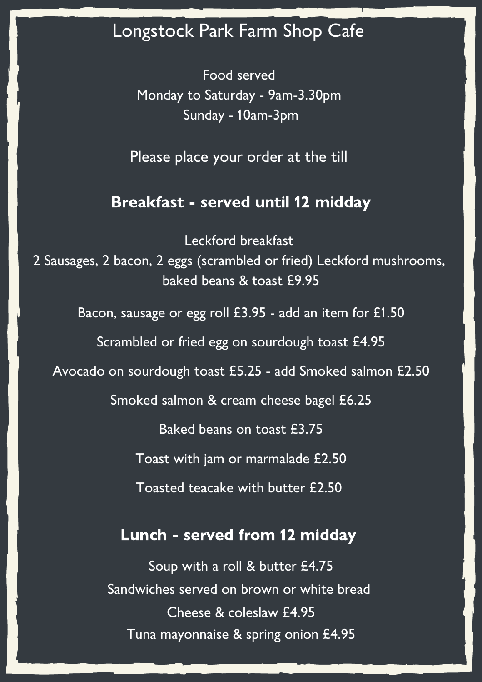# Longstock Park Farm Shop Cafe

Food served Monday to Saturday - 9am-3.30pm Sunday - 10am-3pm

Please place your order at the till

#### Breakfast - served until 12 midday

Leckford breakfast 2 Sausages, 2 bacon, 2 eggs (scrambled or fried) Leckford mushrooms, baked beans & toast £9.95 Bacon, sausage or egg roll £3.95 - add an item for £1.50 Scrambled or fried egg on sourdough toast £4.95 Avocado on sourdough toast £5.25 - add Smoked salmon £2.50 Smoked salmon & cream cheese bagel £6.25 Baked beans on toast £3.75 Toast with jam or marmalade £2.50 Toasted teacake with butter £2.50 Lunch - served from 12 midday

> Soup with a roll & butter £4.75 Sandwiches served on brown or white bread Cheese & coleslaw £4.95 Tuna mayonnaise & spring onion £4.95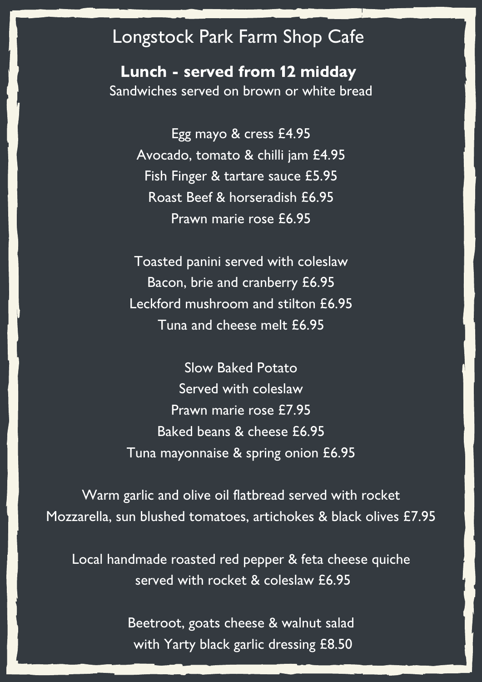## Longstock Park Farm Shop Cafe

Lunch - served from 12 midday Sandwiches served on brown or white bread

> Egg mayo & cress £4.95 Avocado, tomato & chilli jam £4.95 Fish Finger & tartare sauce £5.95 Roast Beef & horseradish £6.95 Prawn marie rose £6.95

Toasted panini served with coleslaw Bacon, brie and cranberry £6.95 Leckford mushroom and stilton £6.95 Tuna and cheese melt £6.95

Slow Baked Potato Served with coleslaw Prawn marie rose £7.95 Baked beans & cheese £6.95 Tuna mayonnaise & spring onion £6.95

Warm garlic and olive oil flatbread served with rocket Mozzarella, sun blushed tomatoes, artichokes & black olives £7.95

Local handmade roasted red pepper & feta cheese quiche served with rocket & coleslaw £6.95

> Beetroot, goats cheese & walnut salad with Yarty black garlic dressing £8.50